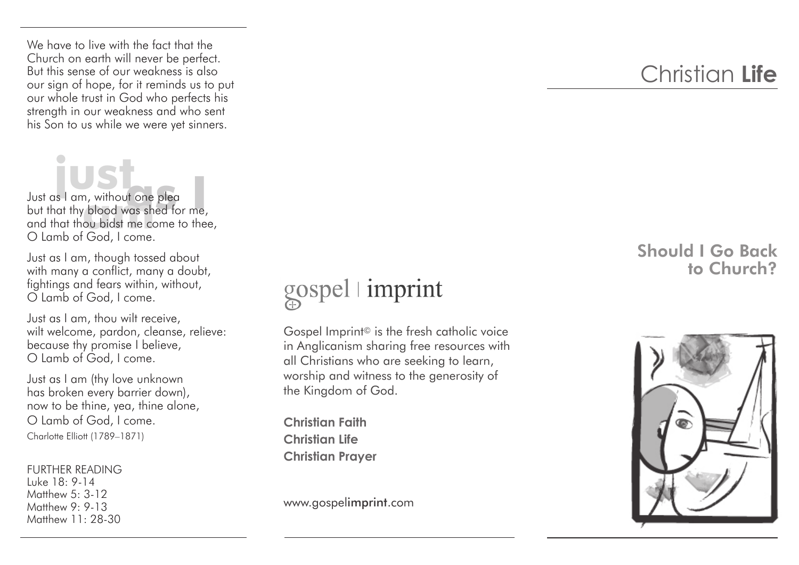We have to live with the fact that the Church on earth will never be perfect. But this sense of our weakness is also our sign of hope, for it reminds us to put our whole trust in God who perfects his strength in our weakness and who sent his Son to us while we were yet sinners.

Just as I am, without one plea **just**  but that thy blood was shed for me, and that thou bidst me come to thee, O Lamb of God, I come. **as I am, without one pleantify blood was shed for me,**<br>and thy blood was shed for me,<br>and thou bidst me come to the

Just as I am, though tossed about with many a conflict, many a doubt, fightings and fears within, without, O Lamb of God, I come.

Just as I am, thou wilt receive, wilt welcome, pardon, cleanse, relieve: because thy promise I believe, O Lamb of God, I come.

Just as I am (thy love unknown has broken every barrier down), now to be thine, yea, thine alone, O Lamb of God, I come. Charlotte Elliott (1789–1871)

FURTHER READING Luke 18: 9-14 Matthew 5: 3-12 Matthew 9: 9-13 Matthew 11: 28-30

## gospel imprint

Gospel Imprint© is the fresh catholic voice in Anglicanism sharing free resources with all Christians who are seeking to learn, worship and witness to the generosity of the Kingdom of God.

**Christian Faith Christian Life Christian Prayer**

www.gospelimprint.com

## Christian **Life**

## Should I Go Back to Church?